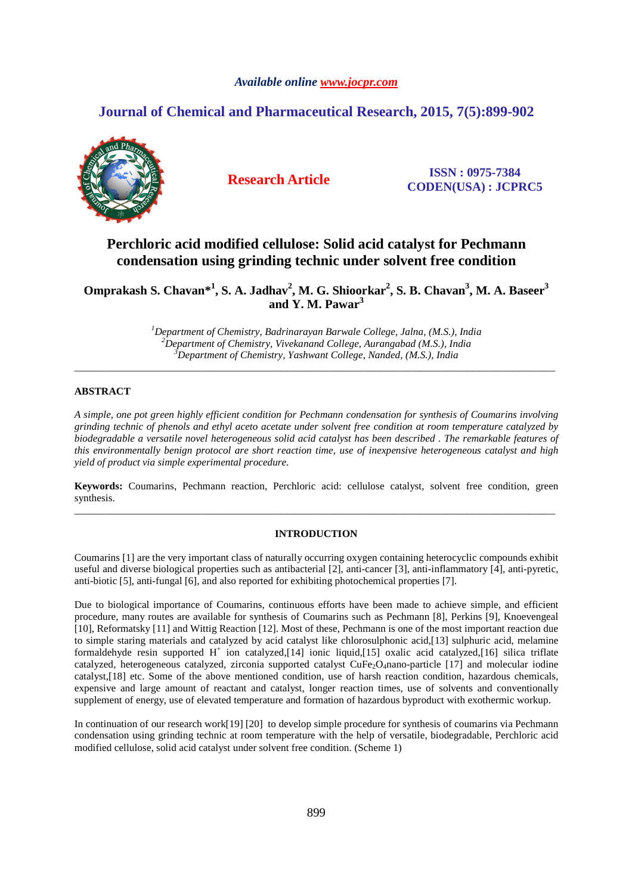## *Available online www.jocpr.com*

# **Journal of Chemical and Pharmaceutical Research, 2015, 7(5):899-902**



**Research Article ISSN : 0975-7384 CODEN(USA) : JCPRC5**

# **Perchloric acid modified cellulose: Solid acid catalyst for Pechmann condensation using grinding technic under solvent free condition**

**Omprakash S. Chavan\*<sup>1</sup> , S. A. Jadhav<sup>2</sup> , M. G. Shioorkar<sup>2</sup> , S. B. Chavan<sup>3</sup> , M. A. Baseer<sup>3</sup> and Y. M. Pawar<sup>3</sup>**

> *<sup>1</sup>Department of Chemistry, Badrinarayan Barwale College, Jalna, (M.S.), India <sup>2</sup>Department of Chemistry, Vivekanand College, Aurangabad (M.S.), India <sup>3</sup>Department of Chemistry, Yashwant College, Nanded, (M.S.), India*

\_\_\_\_\_\_\_\_\_\_\_\_\_\_\_\_\_\_\_\_\_\_\_\_\_\_\_\_\_\_\_\_\_\_\_\_\_\_\_\_\_\_\_\_\_\_\_\_\_\_\_\_\_\_\_\_\_\_\_\_\_\_\_\_\_\_\_\_\_\_\_\_\_\_\_\_\_\_\_\_\_\_\_\_\_\_\_\_\_\_\_\_\_

## **ABSTRACT**

*A simple, one pot green highly efficient condition for Pechmann condensation for synthesis of Coumarins involving grinding technic of phenols and ethyl aceto acetate under solvent free condition at room temperature catalyzed by biodegradable a versatile novel heterogeneous solid acid catalyst has been described . The remarkable features of this environmentally benign protocol are short reaction time, use of inexpensive heterogeneous catalyst and high yield of product via simple experimental procedure.*

**Keywords:** Coumarins, Pechmann reaction, Perchloric acid: cellulose catalyst, solvent free condition, green synthesis. \_\_\_\_\_\_\_\_\_\_\_\_\_\_\_\_\_\_\_\_\_\_\_\_\_\_\_\_\_\_\_\_\_\_\_\_\_\_\_\_\_\_\_\_\_\_\_\_\_\_\_\_\_\_\_\_\_\_\_\_\_\_\_\_\_\_\_\_\_\_\_\_\_\_\_\_\_\_\_\_\_\_\_\_\_\_\_\_\_\_\_\_\_

#### **INTRODUCTION**

Coumarins [1] are the very important class of naturally occurring oxygen containing heterocyclic compounds exhibit useful and diverse biological properties such as antibacterial [2], anti-cancer [3], anti-inflammatory [4], anti-pyretic, anti-biotic [5], anti-fungal [6], and also reported for exhibiting photochemical properties [7].

Due to biological importance of Coumarins, continuous efforts have been made to achieve simple, and efficient procedure, many routes are available for synthesis of Coumarins such as Pechmann [8], Perkins [9], Knoevengeal [10], Reformatsky [11] and Wittig Reaction [12]. Most of these, Pechmann is one of the most important reaction due to simple staring materials and catalyzed by acid catalyst like chlorosulphonic acid,[13] sulphuric acid, melamine formaldehyde resin supported  $H^+$  ion catalyzed,[14] ionic liquid,[15] oxalic acid catalyzed,[16] silica triflate catalyzed, heterogeneous catalyzed, zirconia supported catalyst CuFe<sub>2</sub>O<sub>4</sub>nano-particle [17] and molecular iodine catalyst,[18] etc. Some of the above mentioned condition, use of harsh reaction condition, hazardous chemicals, expensive and large amount of reactant and catalyst, longer reaction times, use of solvents and conventionally supplement of energy, use of elevated temperature and formation of hazardous byproduct with exothermic workup.

In continuation of our research work[19] [20] to develop simple procedure for synthesis of coumarins via Pechmann condensation using grinding technic at room temperature with the help of versatile, biodegradable, Perchloric acid modified cellulose, solid acid catalyst under solvent free condition. (Scheme 1)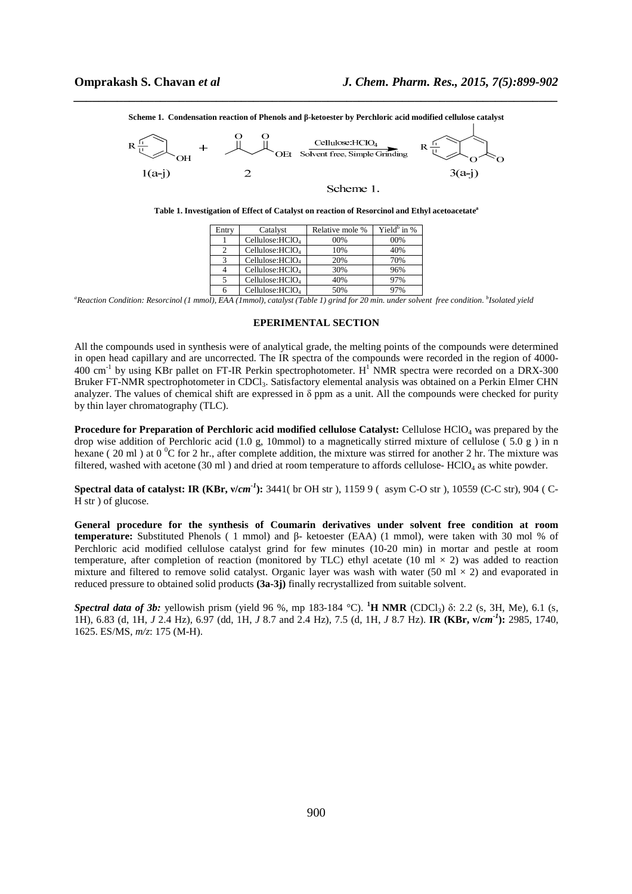*\_\_\_\_\_\_\_\_\_\_\_\_\_\_\_\_\_\_\_\_\_\_\_\_\_\_\_\_\_\_\_\_\_\_\_\_\_\_\_\_\_\_\_\_\_\_\_\_\_\_\_\_\_\_\_\_\_\_\_\_\_\_\_\_\_\_\_\_\_\_\_\_\_\_\_\_\_\_* **Scheme 1. Condensation reaction of Phenols and β-ketoester by Perchloric acid modified cellulose catalyst** 



**Table 1. Investigation of Effect of Catalyst on reaction of Resorcinol and Ethyl acetoacetate<sup>a</sup>**

| Entry | Catalyst                    | Relative mole % | Yield $\frac{b}{n}$ in % |
|-------|-----------------------------|-----------------|--------------------------|
|       | Cellulose: $HCIO4$          | 00%             | 00%                      |
|       | Cellulose: $HCIO4$          | 10%             | 40%                      |
|       | Cellulose:HCIO <sub>4</sub> | 20%             | 70%                      |
| 4     | Cellulose:HCIO <sub>4</sub> | 30%             | 96%                      |
|       | Cellulose:HCIO <sub>4</sub> | 40%             | 97%                      |
| 6     | Cellulose:HClO <sub>4</sub> | 50%             | 97%                      |

<sup>a</sup>*Reaction Condition: Resorcinol (1 mmol), EAA (1mmol), catalyst (Table 1) grind for 20 min. under solvent free condition. <sup><i>b*</sup> Isolated yield

#### **EPERIMENTAL SECTION**

All the compounds used in synthesis were of analytical grade, the melting points of the compounds were determined in open head capillary and are uncorrected. The IR spectra of the compounds were recorded in the region of 4000-  $400 \text{ cm}^{-1}$  by using KBr pallet on FT-IR Perkin spectrophotometer. H<sup>1</sup> NMR spectra were recorded on a DRX-300 Bruker FT-NMR spectrophotometer in CDCl3. Satisfactory elemental analysis was obtained on a Perkin Elmer CHN analyzer. The values of chemical shift are expressed in  $\delta$  ppm as a unit. All the compounds were checked for purity by thin layer chromatography (TLC).

**Procedure for Preparation of Perchloric acid modified cellulose Catalyst:** Cellulose HClO4 was prepared by the drop wise addition of Perchloric acid (1.0 g, 10mmol) to a magnetically stirred mixture of cellulose (5.0 g) in n hexane ( 20 ml ) at  $0^{\circ}$ C for 2 hr., after complete addition, the mixture was stirred for another 2 hr. The mixture was filtered, washed with acetone (30 ml) and dried at room temperature to affords cellulose- HClO<sub>4</sub> as white powder.

**Spectral data of catalyst: IR (KBr,**  $v/cm^{-1}$ **):** 3441( br OH str ), 1159 9 ( asym C-O str ), 10559 (C-C str), 904 ( C-H str ) of glucose.

**General procedure for the synthesis of Coumarin derivatives under solvent free condition at room temperature:** Substituted Phenols ( 1 mmol) and β- ketoester (EAA) (1 mmol), were taken with 30 mol % of Perchloric acid modified cellulose catalyst grind for few minutes (10-20 min) in mortar and pestle at room temperature, after completion of reaction (monitored by TLC) ethyl acetate (10 ml  $\times$  2) was added to reaction mixture and filtered to remove solid catalyst. Organic layer was wash with water (50 ml  $\times$  2) and evaporated in reduced pressure to obtained solid products **(3a-3j)** finally recrystallized from suitable solvent.

*Spectral data of 3b:* yellowish prism (yield 96 %, mp 183-184 °C). **<sup>1</sup>H NMR** (CDCl3) δ: 2.2 (s, 3H, Me), 6.1 (s, 1H), 6.83 (d, 1H, *J* 2.4 Hz), 6.97 (dd, 1H, *J* 8.7 and 2.4 Hz), 7.5 (d, 1H, *J* 8.7 Hz). **IR (KBr, ν/***cm-1***):** 2985, 1740, 1625. ES/MS, *m/z*: 175 (M-H).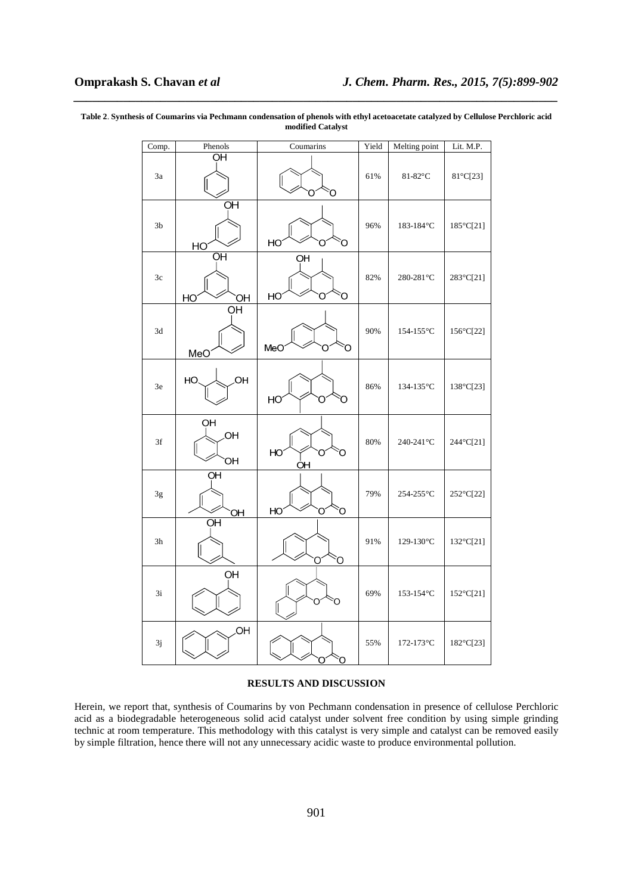| Comp.          | Phenols                    | Coumarins          | Yield | Melting point                 | Lit. M.P. |
|----------------|----------------------------|--------------------|-------|-------------------------------|-----------|
| 3a             | OН                         | O                  | 61%   | 81-82°C                       | 81°C[23]  |
| 3 <sub>b</sub> | $\overline{O}$ H<br>HO     | HO<br>O            | 96%   | 183-184°C                     | 185°C[21] |
| 3c             | $\overline{q}$<br>HO<br>OH | OH<br>HO<br>Ο<br>O | 82%   | 280-281°C                     | 283°C[21] |
| 3d             | OH<br>MeO                  | MeO<br>O<br>Ω      | 90%   | $154-155\,^{\circ}\mathrm{C}$ | 156°C[22] |
| 3e             | OН<br>HO                   | HO<br>O<br>Ő       | 86%   | 134-135°C                     | 138°C[23] |
| 3f             | OH<br>.OH<br>OH            | HO<br>Ο<br>O<br>OH | 80%   | 240-241°C                     | 244°C[21] |
| $3\mathrm{g}$  | $\overline{O}$ H<br>OH     | HO<br>Õ            | 79%   | 254-255°C                     | 252°C[22] |
| 3h             | $\overline{O}$ H           | Ο<br>O             | 91%   | 129-130°C                     | 132°C[21] |
| 3i             | OH                         | Ο<br>∩             | 69%   | 153-154 $\rm ^{\circ}C$       | 152°C[21] |
| $3j$           | OH                         | O                  | 55%   | 172-173°C                     | 182°C[23] |

**Table 2**. **Synthesis of Coumarins via Pechmann condensation of phenols with ethyl acetoacetate catalyzed by Cellulose Perchloric acid modified Catalyst** 

*\_\_\_\_\_\_\_\_\_\_\_\_\_\_\_\_\_\_\_\_\_\_\_\_\_\_\_\_\_\_\_\_\_\_\_\_\_\_\_\_\_\_\_\_\_\_\_\_\_\_\_\_\_\_\_\_\_\_\_\_\_\_\_\_\_\_\_\_\_\_\_\_\_\_\_\_\_\_*

#### **RESULTS AND DISCUSSION**

Herein, we report that, synthesis of Coumarins by von Pechmann condensation in presence of cellulose Perchloric acid as a biodegradable heterogeneous solid acid catalyst under solvent free condition by using simple grinding technic at room temperature. This methodology with this catalyst is very simple and catalyst can be removed easily by simple filtration, hence there will not any unnecessary acidic waste to produce environmental pollution.